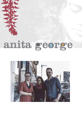## anita george

THE MAIN

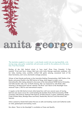## anita george

*'The Australian songbird is a rare treat - a solo female vocalist who can sing beautifully, write moving songs, play guitar wonderfully well and exude warmth for the audience all at the same time.' Free Press Canada* 

Darling of the folk festival circuit. A 'rare treat' (Free Press Canada). 'A fine musician' (Trad and Now). Unique folk/roots artist Anita George captivates audiences with her tales, stunning voice, carefully crafted folk guitar playing, occasional toots of the blues harmonica, and warm, charismatic onstage presence.

Winner of best female performer at the Australian Busking Championships, NMIT Battle of the Bands, and grand finalist in the PBS Festival of Song, Anita began to make waves internationally after being selected to showcase at the International NXNE festival (Canada), and followed this with a tour of North America. She was mentored by John Butler after receiving a JB Seed Grant and her releases 'The River' and 'Storm to the Moonlight' have received Triple J, PBS Fm and international airplay.

A regular on the folk-festival circuit, Anita honed her craft over several years of touring festivals and venues across the world including the Sunshine Music Festival (Canada), NXNE (Canada), Falls Festival, National Folk Festival, St Kilda Festival, Cygnet, Tablelands, Majors Creek, Bruthen Blues, Bendigo Blues and Roots, Healesville, Illawarra and Newstead folk festivals.

Anita is joined by Daniel McCracken-Hewson on cello and backing vocals and Catherine Leslie on violin, glockenspiel and backing vocals.

Her album 'Storm to the Moonlight' is available on iTunes and Spotify.